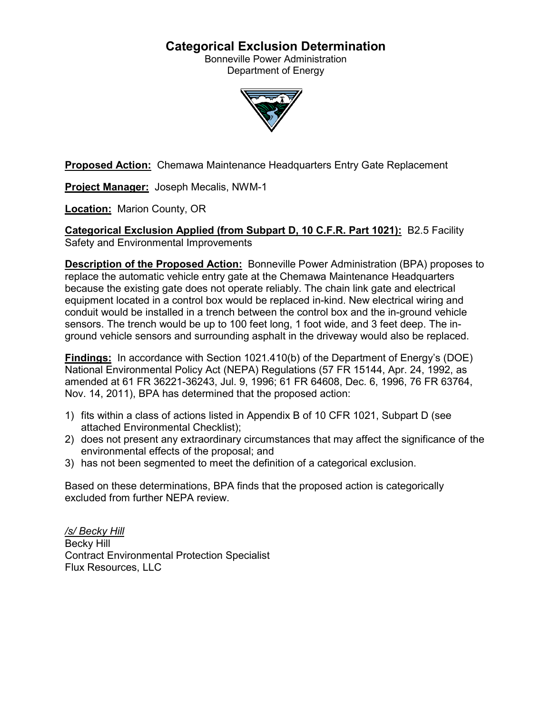# **Categorical Exclusion Determination**

Bonneville Power Administration Department of Energy



**Proposed Action:** Chemawa Maintenance Headquarters Entry Gate Replacement

**Project Manager:** Joseph Mecalis, NWM-1

**Location:** Marion County, OR

**Categorical Exclusion Applied (from Subpart D, 10 C.F.R. Part 1021):** B2.5 Facility Safety and Environmental Improvements

**Description of the Proposed Action:** Bonneville Power Administration (BPA) proposes to replace the automatic vehicle entry gate at the Chemawa Maintenance Headquarters because the existing gate does not operate reliably. The chain link gate and electrical equipment located in a control box would be replaced in-kind. New electrical wiring and conduit would be installed in a trench between the control box and the in-ground vehicle sensors. The trench would be up to 100 feet long, 1 foot wide, and 3 feet deep. The inground vehicle sensors and surrounding asphalt in the driveway would also be replaced.

**Findings:** In accordance with Section 1021.410(b) of the Department of Energy's (DOE) National Environmental Policy Act (NEPA) Regulations (57 FR 15144, Apr. 24, 1992, as amended at 61 FR 36221-36243, Jul. 9, 1996; 61 FR 64608, Dec. 6, 1996, 76 FR 63764, Nov. 14, 2011), BPA has determined that the proposed action:

- 1) fits within a class of actions listed in Appendix B of 10 CFR 1021, Subpart D (see attached Environmental Checklist);
- 2) does not present any extraordinary circumstances that may affect the significance of the environmental effects of the proposal; and
- 3) has not been segmented to meet the definition of a categorical exclusion.

Based on these determinations, BPA finds that the proposed action is categorically excluded from further NEPA review.

*/s/ Becky Hill* Becky Hill Contract Environmental Protection Specialist Flux Resources, LLC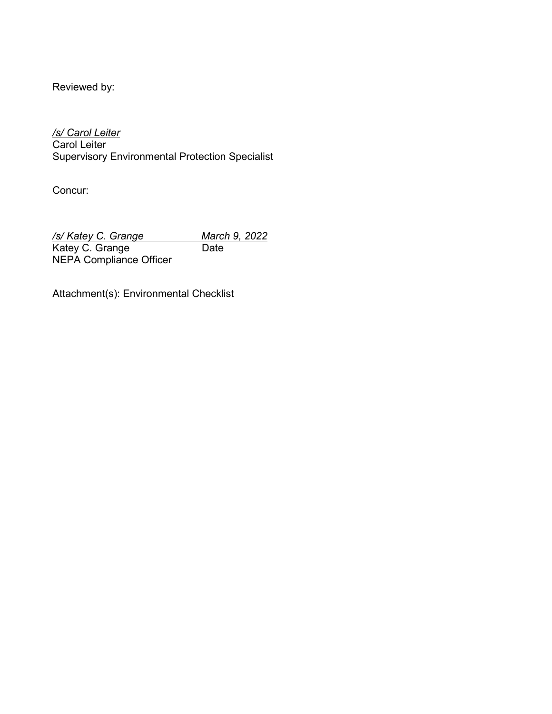Reviewed by:

*/s/ Carol Leiter* Carol Leiter Supervisory Environmental Protection Specialist

Concur:

*/s/ Katey C. Grange March 9, 2022* Katey C. Grange **Date** NEPA Compliance Officer

Attachment(s): Environmental Checklist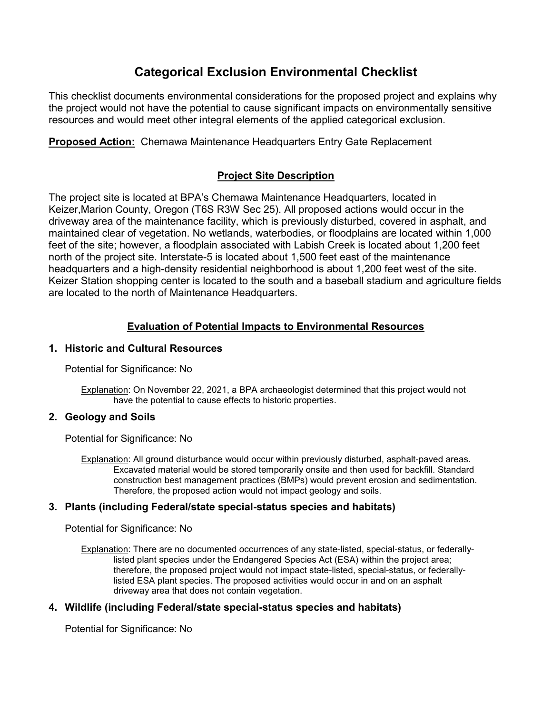# **Categorical Exclusion Environmental Checklist**

This checklist documents environmental considerations for the proposed project and explains why the project would not have the potential to cause significant impacts on environmentally sensitive resources and would meet other integral elements of the applied categorical exclusion.

**Proposed Action:** Chemawa Maintenance Headquarters Entry Gate Replacement

# **Project Site Description**

The project site is located at BPA's Chemawa Maintenance Headquarters, located in Keizer,Marion County, Oregon (T6S R3W Sec 25). All proposed actions would occur in the driveway area of the maintenance facility, which is previously disturbed, covered in asphalt, and maintained clear of vegetation. No wetlands, waterbodies, or floodplains are located within 1,000 feet of the site; however, a floodplain associated with Labish Creek is located about 1,200 feet north of the project site. Interstate-5 is located about 1,500 feet east of the maintenance headquarters and a high-density residential neighborhood is about 1,200 feet west of the site. Keizer Station shopping center is located to the south and a baseball stadium and agriculture fields are located to the north of Maintenance Headquarters.

# **Evaluation of Potential Impacts to Environmental Resources**

# **1. Historic and Cultural Resources**

Potential for Significance: No

Explanation: On November 22, 2021, a BPA archaeologist determined that this project would not have the potential to cause effects to historic properties.

# **2. Geology and Soils**

Potential for Significance: No

Explanation: All ground disturbance would occur within previously disturbed, asphalt-paved areas. Excavated material would be stored temporarily onsite and then used for backfill. Standard construction best management practices (BMPs) would prevent erosion and sedimentation. Therefore, the proposed action would not impact geology and soils.

# **3. Plants (including Federal/state special-status species and habitats)**

Potential for Significance: No

Explanation: There are no documented occurrences of any state-listed, special-status, or federallylisted plant species under the Endangered Species Act (ESA) within the project area; therefore, the proposed project would not impact state-listed, special-status, or federallylisted ESA plant species. The proposed activities would occur in and on an asphalt driveway area that does not contain vegetation.

# **4. Wildlife (including Federal/state special-status species and habitats)**

Potential for Significance: No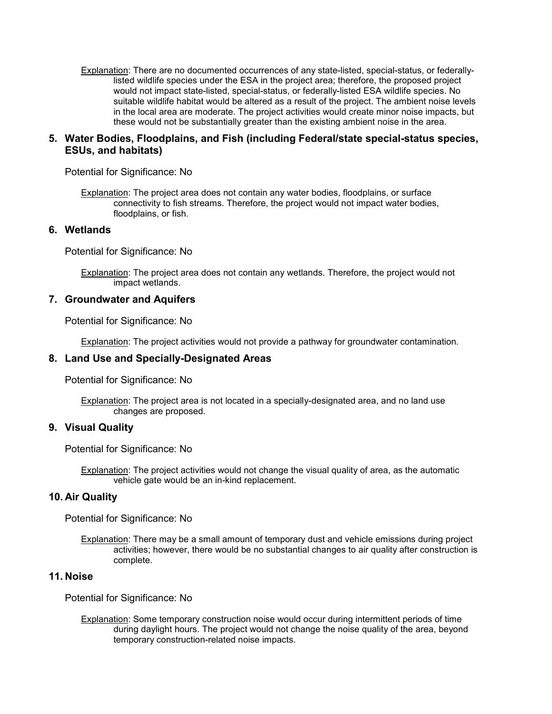Explanation: There are no documented occurrences of any state-listed, special-status, or federallylisted wildlife species under the ESA in the project area; therefore, the proposed project would not impact state-listed, special-status, or federally-listed ESA wildlife species. No suitable wildlife habitat would be altered as a result of the project. The ambient noise levels in the local area are moderate. The project activities would create minor noise impacts, but these would not be substantially greater than the existing ambient noise in the area.

### **5. Water Bodies, Floodplains, and Fish (including Federal/state special-status species, ESUs, and habitats)**

Potential for Significance: No

Explanation: The project area does not contain any water bodies, floodplains, or surface connectivity to fish streams. Therefore, the project would not impact water bodies, floodplains, or fish.

#### **6. Wetlands**

Potential for Significance: No

**Explanation:** The project area does not contain any wetlands. Therefore, the project would not impact wetlands.

#### **7. Groundwater and Aquifers**

Potential for Significance: No

Explanation: The project activities would not provide a pathway for groundwater contamination.

#### **8. Land Use and Specially-Designated Areas**

Potential for Significance: No

Explanation: The project area is not located in a specially-designated area, and no land use changes are proposed.

#### **9. Visual Quality**

Potential for Significance: No

Explanation: The project activities would not change the visual quality of area, as the automatic vehicle gate would be an in-kind replacement.

#### **10. Air Quality**

Potential for Significance: No

Explanation: There may be a small amount of temporary dust and vehicle emissions during project activities; however, there would be no substantial changes to air quality after construction is complete.

### **11. Noise**

Potential for Significance: No

Explanation: Some temporary construction noise would occur during intermittent periods of time during daylight hours. The project would not change the noise quality of the area, beyond temporary construction-related noise impacts.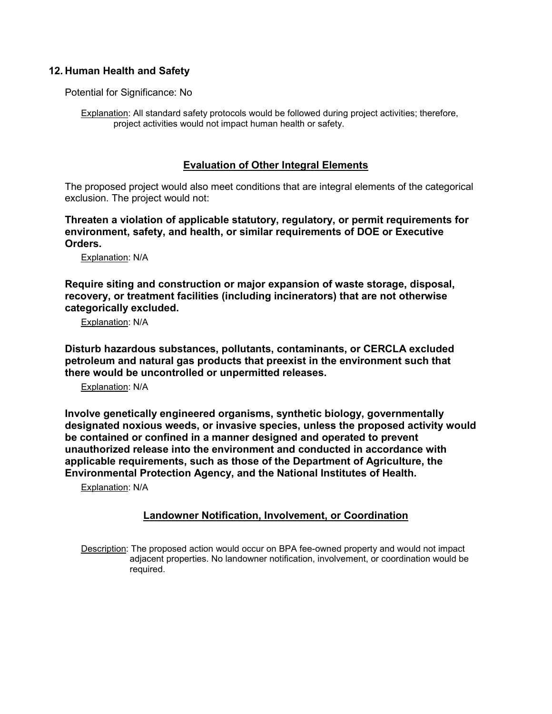# **12. Human Health and Safety**

Potential for Significance: No

Explanation: All standard safety protocols would be followed during project activities; therefore, project activities would not impact human health or safety.

#### **Evaluation of Other Integral Elements**

The proposed project would also meet conditions that are integral elements of the categorical exclusion. The project would not:

**Threaten a violation of applicable statutory, regulatory, or permit requirements for environment, safety, and health, or similar requirements of DOE or Executive Orders.**

Explanation: N/A

**Require siting and construction or major expansion of waste storage, disposal, recovery, or treatment facilities (including incinerators) that are not otherwise categorically excluded.**

Explanation: N/A

**Disturb hazardous substances, pollutants, contaminants, or CERCLA excluded petroleum and natural gas products that preexist in the environment such that there would be uncontrolled or unpermitted releases.**

Explanation: N/A

**Involve genetically engineered organisms, synthetic biology, governmentally designated noxious weeds, or invasive species, unless the proposed activity would be contained or confined in a manner designed and operated to prevent unauthorized release into the environment and conducted in accordance with applicable requirements, such as those of the Department of Agriculture, the Environmental Protection Agency, and the National Institutes of Health.**

Explanation: N/A

# **Landowner Notification, Involvement, or Coordination**

Description: The proposed action would occur on BPA fee-owned property and would not impact adjacent properties. No landowner notification, involvement, or coordination would be required.